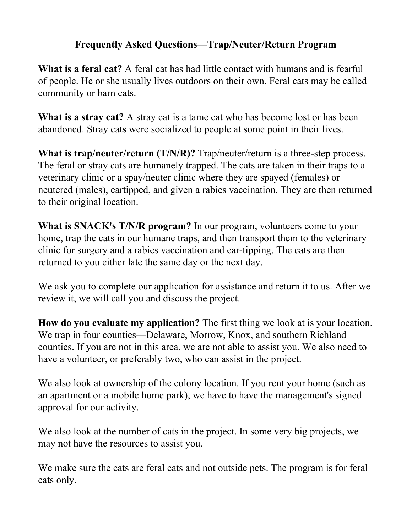## **Frequently Asked Questions—Trap/Neuter/Return Program**

**What is a feral cat?** A feral cat has had little contact with humans and is fearful of people. He or she usually lives outdoors on their own. Feral cats may be called community or barn cats.

**What is a stray cat?** A stray cat is a tame cat who has become lost or has been abandoned. Stray cats were socialized to people at some point in their lives.

**What is trap/neuter/return (T/N/R)?** Trap/neuter/return is a three-step process. The feral or stray cats are humanely trapped. The cats are taken in their traps to a veterinary clinic or a spay/neuter clinic where they are spayed (females) or neutered (males), eartipped, and given a rabies vaccination. They are then returned to their original location.

**What is SNACK's T/N/R program?** In our program, volunteers come to your home, trap the cats in our humane traps, and then transport them to the veterinary clinic for surgery and a rabies vaccination and ear-tipping. The cats are then returned to you either late the same day or the next day.

We ask you to complete our application for assistance and return it to us. After we review it, we will call you and discuss the project.

**How do you evaluate my application?** The first thing we look at is your location. We trap in four counties—Delaware, Morrow, Knox, and southern Richland counties. If you are not in this area, we are not able to assist you. We also need to have a volunteer, or preferably two, who can assist in the project.

We also look at ownership of the colony location. If you rent your home (such as an apartment or a mobile home park), we have to have the management's signed approval for our activity.

We also look at the number of cats in the project. In some very big projects, we may not have the resources to assist you.

We make sure the cats are feral cats and not outside pets. The program is for <u>feral</u> cats only.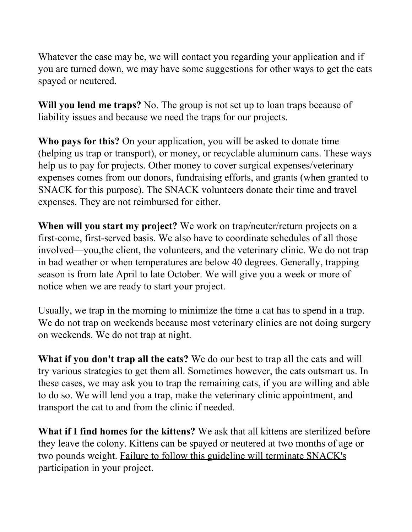Whatever the case may be, we will contact you regarding your application and if you are turned down, we may have some suggestions for other ways to get the cats spayed or neutered.

**Will you lend me traps?** No. The group is not set up to loan traps because of liability issues and because we need the traps for our projects.

**Who pays for this?** On your application, you will be asked to donate time (helping us trap or transport), or money, or recyclable aluminum cans. These ways help us to pay for projects. Other money to cover surgical expenses/veterinary expenses comes from our donors, fundraising efforts, and grants (when granted to SNACK for this purpose). The SNACK volunteers donate their time and travel expenses. They are not reimbursed for either.

**When will you start my project?** We work on trap/neuter/return projects on a first-come, first-served basis. We also have to coordinate schedules of all those involved—you,the client, the volunteers, and the veterinary clinic. We do not trap in bad weather or when temperatures are below 40 degrees. Generally, trapping season is from late April to late October. We will give you a week or more of notice when we are ready to start your project.

Usually, we trap in the morning to minimize the time a cat has to spend in a trap. We do not trap on weekends because most veterinary clinics are not doing surgery on weekends. We do not trap at night.

**What if you don't trap all the cats?** We do our best to trap all the cats and will try various strategies to get them all. Sometimes however, the cats outsmart us. In these cases, we may ask you to trap the remaining cats, if you are willing and able to do so. We will lend you a trap, make the veterinary clinic appointment, and transport the cat to and from the clinic if needed.

**What if I find homes for the kittens?** We ask that all kittens are sterilized before they leave the colony. Kittens can be spayed or neutered at two months of age or two pounds weight. Failure to follow this guideline will terminate SNACK's participation in your project.